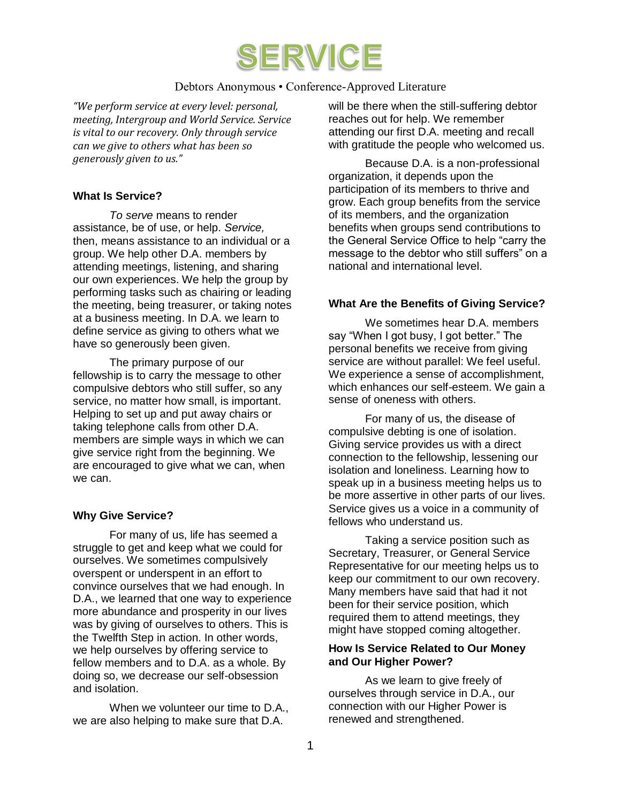

## Debtors Anonymous • Conference-Approved Literature

*"We perform service at every level: personal, meeting, Intergroup and World Service. Service is vital to our recovery. Only through service can we give to others what has been so generously given to us."*

## **What Is Service?**

*To serve* means to render assistance, be of use, or help. *Service,*  then, means assistance to an individual or a group. We help other D.A. members by attending meetings, listening, and sharing our own experiences. We help the group by performing tasks such as chairing or leading the meeting, being treasurer, or taking notes at a business meeting. In D.A. we learn to define service as giving to others what we have so generously been given.

The primary purpose of our fellowship is to carry the message to other compulsive debtors who still suffer, so any service, no matter how small, is important. Helping to set up and put away chairs or taking telephone calls from other D.A. members are simple ways in which we can give service right from the beginning. We are encouraged to give what we can, when we can.

## **Why Give Service?**

For many of us, life has seemed a struggle to get and keep what we could for ourselves. We sometimes compulsively overspent or underspent in an effort to convince ourselves that we had enough. In D.A., we learned that one way to experience more abundance and prosperity in our lives was by giving of ourselves to others. This is the Twelfth Step in action. In other words, we help ourselves by offering service to fellow members and to D.A. as a whole. By doing so, we decrease our self-obsession and isolation.

When we volunteer our time to D.A., we are also helping to make sure that D.A.

will be there when the still-suffering debtor reaches out for help. We remember attending our first D.A. meeting and recall with gratitude the people who welcomed us.

Because D.A. is a non-professional organization, it depends upon the participation of its members to thrive and grow. Each group benefits from the service of its members, and the organization benefits when groups send contributions to the General Service Office to help "carry the message to the debtor who still suffers" on a national and international level.

## **What Are the Benefits of Giving Service?**

We sometimes hear D.A. members say "When I got busy, I got better." The personal benefits we receive from giving service are without parallel: We feel useful. We experience a sense of accomplishment, which enhances our self-esteem. We gain a sense of oneness with others.

For many of us, the disease of compulsive debting is one of isolation. Giving service provides us with a direct connection to the fellowship, lessening our isolation and loneliness. Learning how to speak up in a business meeting helps us to be more assertive in other parts of our lives. Service gives us a voice in a community of fellows who understand us.

Taking a service position such as Secretary, Treasurer, or General Service Representative for our meeting helps us to keep our commitment to our own recovery. Many members have said that had it not been for their service position, which required them to attend meetings, they might have stopped coming altogether.

## **How Is Service Related to Our Money and Our Higher Power?**

As we learn to give freely of ourselves through service in D.A., our connection with our Higher Power is renewed and strengthened.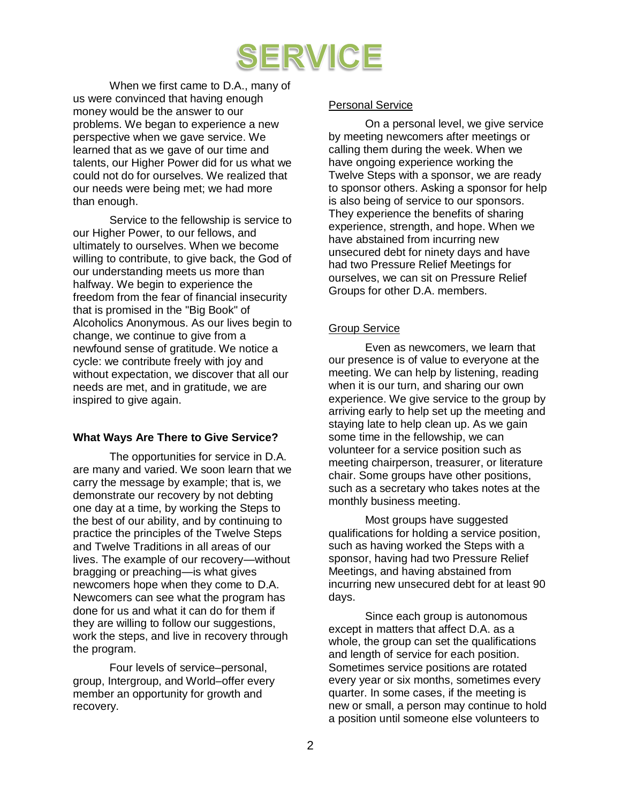# SERVICE

When we first came to D.A., many of us were convinced that having enough money would be the answer to our problems. We began to experience a new perspective when we gave service. We learned that as we gave of our time and talents, our Higher Power did for us what we could not do for ourselves. We realized that our needs were being met; we had more than enough.

Service to the fellowship is service to our Higher Power, to our fellows, and ultimately to ourselves. When we become willing to contribute, to give back, the God of our understanding meets us more than halfway. We begin to experience the freedom from the fear of financial insecurity that is promised in the "Big Book" of Alcoholics Anonymous. As our lives begin to change, we continue to give from a newfound sense of gratitude. We notice a cycle: we contribute freely with joy and without expectation, we discover that all our needs are met, and in gratitude, we are inspired to give again.

## **What Ways Are There to Give Service?**

The opportunities for service in D.A. are many and varied. We soon learn that we carry the message by example; that is, we demonstrate our recovery by not debting one day at a time, by working the Steps to the best of our ability, and by continuing to practice the principles of the Twelve Steps and Twelve Traditions in all areas of our lives. The example of our recovery—without bragging or preaching—is what gives newcomers hope when they come to D.A. Newcomers can see what the program has done for us and what it can do for them if they are willing to follow our suggestions, work the steps, and live in recovery through the program.

Four levels of service–personal, group, Intergroup, and World–offer every member an opportunity for growth and recovery.

## Personal Service

On a personal level, we give service by meeting newcomers after meetings or calling them during the week. When we have ongoing experience working the Twelve Steps with a sponsor, we are ready to sponsor others. Asking a sponsor for help is also being of service to our sponsors. They experience the benefits of sharing experience, strength, and hope. When we have abstained from incurring new unsecured debt for ninety days and have had two Pressure Relief Meetings for ourselves, we can sit on Pressure Relief Groups for other D.A. members.

# Group Service

Even as newcomers, we learn that our presence is of value to everyone at the meeting. We can help by listening, reading when it is our turn, and sharing our own experience. We give service to the group by arriving early to help set up the meeting and staying late to help clean up. As we gain some time in the fellowship, we can volunteer for a service position such as meeting chairperson, treasurer, or literature chair. Some groups have other positions, such as a secretary who takes notes at the monthly business meeting.

Most groups have suggested qualifications for holding a service position, such as having worked the Steps with a sponsor, having had two Pressure Relief Meetings, and having abstained from incurring new unsecured debt for at least 90 days.

Since each group is autonomous except in matters that affect D.A. as a whole, the group can set the qualifications and length of service for each position. Sometimes service positions are rotated every year or six months, sometimes every quarter. In some cases, if the meeting is new or small, a person may continue to hold a position until someone else volunteers to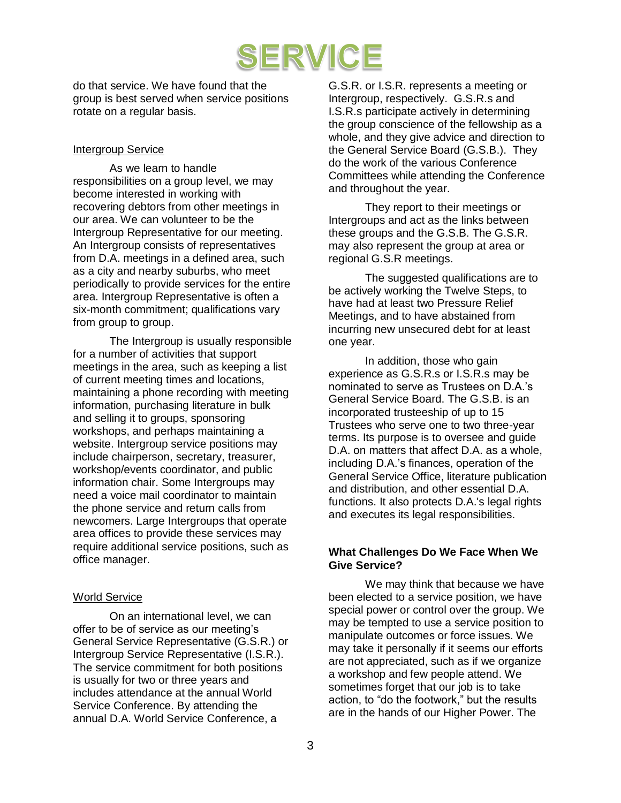

do that service. We have found that the group is best served when service positions rotate on a regular basis.

## Intergroup Service

As we learn to handle responsibilities on a group level, we may become interested in working with recovering debtors from other meetings in our area. We can volunteer to be the Intergroup Representative for our meeting. An Intergroup consists of representatives from D.A. meetings in a defined area, such as a city and nearby suburbs, who meet periodically to provide services for the entire area. Intergroup Representative is often a six-month commitment; qualifications vary from group to group.

The Intergroup is usually responsible for a number of activities that support meetings in the area, such as keeping a list of current meeting times and locations, maintaining a phone recording with meeting information, purchasing literature in bulk and selling it to groups, sponsoring workshops, and perhaps maintaining a website. Intergroup service positions may include chairperson, secretary, treasurer, workshop/events coordinator, and public information chair. Some Intergroups may need a voice mail coordinator to maintain the phone service and return calls from newcomers. Large Intergroups that operate area offices to provide these services may require additional service positions, such as office manager.

## World Service

On an international level, we can offer to be of service as our meeting's General Service Representative (G.S.R.) or Intergroup Service Representative (I.S.R.). The service commitment for both positions is usually for two or three years and includes attendance at the annual World Service Conference. By attending the annual D.A. World Service Conference, a

G.S.R. or I.S.R. represents a meeting or Intergroup, respectively. G.S.R.s and I.S.R.s participate actively in determining the group conscience of the fellowship as a whole, and they give advice and direction to the General Service Board (G.S.B.). They do the work of the various Conference Committees while attending the Conference and throughout the year.

They report to their meetings or Intergroups and act as the links between these groups and the G.S.B. The G.S.R. may also represent the group at area or regional G.S.R meetings.

The suggested qualifications are to be actively working the Twelve Steps, to have had at least two Pressure Relief Meetings, and to have abstained from incurring new unsecured debt for at least one year.

In addition, those who gain experience as G.S.R.s or I.S.R.s may be nominated to serve as Trustees on D.A.'s General Service Board. The G.S.B. is an incorporated trusteeship of up to 15 Trustees who serve one to two three-year terms. Its purpose is to oversee and guide D.A. on matters that affect D.A. as a whole, including D.A.'s finances, operation of the General Service Office, literature publication and distribution, and other essential D.A. functions. It also protects D.A.'s legal rights and executes its legal responsibilities.

## **What Challenges Do We Face When We Give Service?**

We may think that because we have been elected to a service position, we have special power or control over the group. We may be tempted to use a service position to manipulate outcomes or force issues. We may take it personally if it seems our efforts are not appreciated, such as if we organize a workshop and few people attend. We sometimes forget that our job is to take action, to "do the footwork," but the results are in the hands of our Higher Power. The